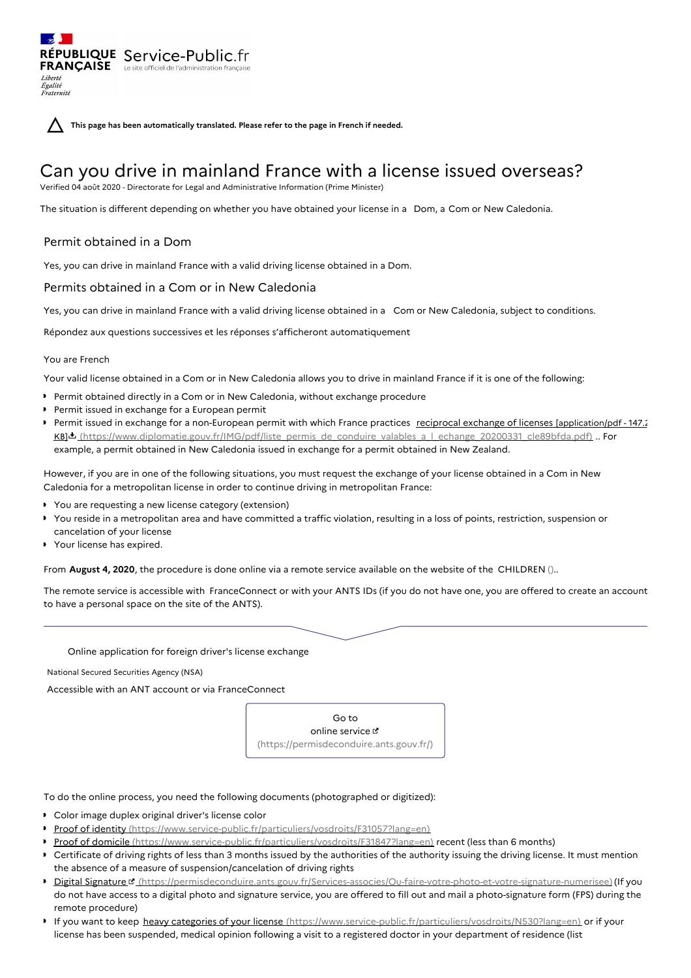**This page has been automatically translated. Please refer to the page in French if needed.**

# Can you drive in mainland France with a license issued overseas?

Verified 04 août 2020 - Directorate for Legal and Administrative Information (Prime Minister)

The situation is different depending on whether you have obtained your license in a Dom, a Com or New Caledonia.

# Permit obtained in a Dom

RÉPUBLIQUE Service-Public.fr **FRANÇAISE** Le site officiel de l'administration

Yes, you can drive in mainland France with a valid driving license obtained in a Dom.

## Permits obtained in a Com or in New Caledonia

Yes, you can drive in mainland France with a valid driving license obtained in a Com or New Caledonia, subject to conditions.

Répondez aux questions successives et les réponses s'afficheront automatiquement

## You are French

Liberté Égalité<br>Fraternité

Your valid license obtained in a Com or in New Caledonia allows you to drive in mainland France if it is one of the following:

- Permit obtained directly in a Com or in New Caledonia, without exchange procedure
- **Permit issued in exchange for a European permit**
- Permit issued in exchange for a non-European permit with which France practices reciprocal exchange of licenses [application/pdf 147.2] KB] [\(https://www.diplomatie.gouv.fr/IMG/pdf/liste\\_permis\\_de\\_conduire\\_valables\\_a\\_l\\_echange\\_20200331\\_cle89bfda.pdf\)](https://www.diplomatie.gouv.fr/IMG/pdf/liste_permis_de_conduire_valables_a_l_echange_20200331_cle89bfda.pdf) .. For example, a permit obtained in New Caledonia issued in exchange for a permit obtained in New Zealand.

However, if you are in one of the following situations, you must request the exchange of your license obtained in a Com in New Caledonia for a metropolitan license in order to continue driving in metropolitan France:

- You are requesting a new license category (extension)
- You reside in a metropolitan area and have committed a traffic violation, resulting in a loss of points, restriction, suspension or cancelation of your license
- Your license has expired.

From **August 4, 2020**, the procedure is done online via a remote service available on the website of the CHILDREN ()..

The remote service is accessible with FranceConnect or with your ANTS IDs (if you do not have one, you are offered to create an account to have a personal space on the site of the ANTS).

Online application for foreign driver's license exchange

National Secured Securities Agency (NSA)

Accessible with an ANT account or via FranceConnect

Go to online service [\(https://permisdeconduire.ants.gouv.fr/\)](https://permisdeconduire.ants.gouv.fr/)

To do the online process, you need the following documents (photographed or digitized):

- Color image duplex original driver's license color
- Proof of identity [\(https://www.service-public.fr/particuliers/vosdroits/F31057?lang=en\)](https://www.service-public.fr/particuliers/vosdroits/F31057?lang=en)
- Proof of domicile [\(https://www.service-public.fr/particuliers/vosdroits/F31847?lang=en\)](https://www.service-public.fr/particuliers/vosdroits/F31847?lang=en) recent (less than 6 months)
- Certificate of driving rights of less than 3 months issued by the authorities of the authority issuing the driving license. It must mention the absence of a measure of suspension/cancelation of driving rights
- Digital Signature d' [\(https://permisdeconduire.ants.gouv.fr/Services-associes/Ou-faire-votre-photo-et-votre-signature-numerisee\)](https://permisdeconduire.ants.gouv.fr/Services-associes/Ou-faire-votre-photo-et-votre-signature-numerisee) (If you do not have access to a digital photo and signature service, you are offered to fill out and mail a photo-signature form (FPS) during the remote procedure)
- If you want to keep heavy categories of your license [\(https://www.service-public.fr/particuliers/vosdroits/N530?lang=en\)](https://www.service-public.fr/particuliers/vosdroits/N530?lang=en) or if your license has been suspended, medical opinion following a visit to a registered doctor in your department of residence (list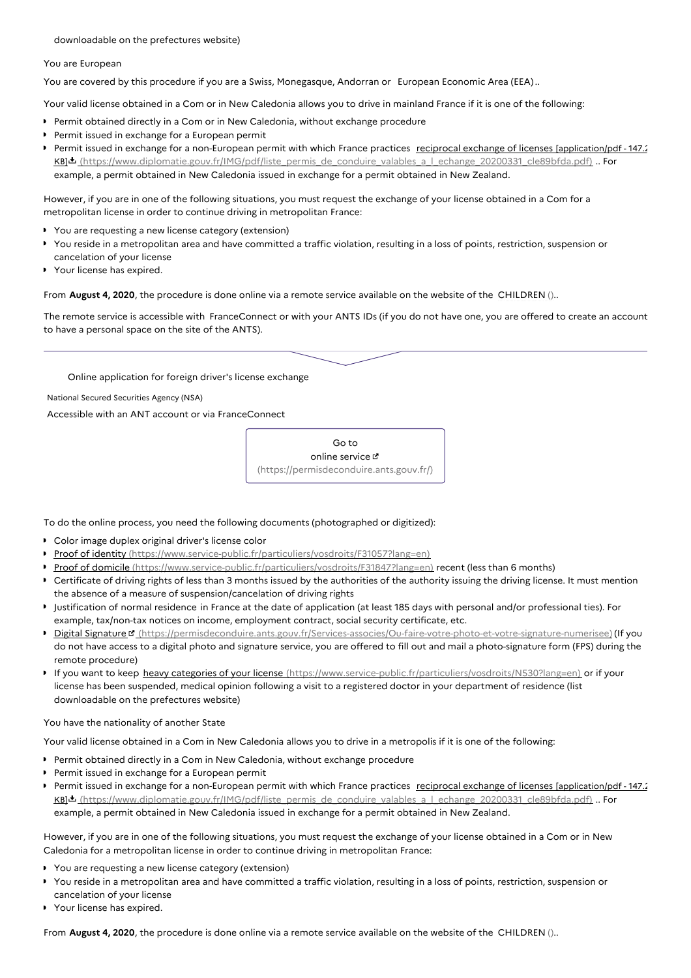downloadable on the prefectures website)

#### You are European

You are covered by this procedure if you are a Swiss, Monegasque, Andorran or European Economic Area (EEA)..

Your valid license obtained in a Com or in New Caledonia allows you to drive in mainland France if it is one of the following:

- **Permit obtained directly in a Com or in New Caledonia, without exchange procedure**
- **Permit issued in exchange for a European permit**
- Permit issued in exchange for a non-European permit with which France practices reciprocal exchange of licenses [application/pdf 147.2] KBIL [\(https://www.diplomatie.gouv.fr/IMG/pdf/liste\\_permis\\_de\\_conduire\\_valables\\_a\\_l\\_echange\\_20200331\\_cle89bfda.pdf\)](https://www.diplomatie.gouv.fr/IMG/pdf/liste_permis_de_conduire_valables_a_l_echange_20200331_cle89bfda.pdf) .. For example, a permit obtained in New Caledonia issued in exchange for a permit obtained in New Zealand.

However, if you are in one of the following situations, you must request the exchange of your license obtained in a Com for a metropolitan license in order to continue driving in metropolitan France:

- You are requesting a new license category (extension)
- You reside in a metropolitan area and have committed a traffic violation, resulting in a loss of points, restriction, suspension or cancelation of your license
- Your license has expired.

From **August 4, 2020**, the procedure is done online via a remote service available on the website of the CHILDREN ()..

The remote service is accessible with FranceConnect or with your ANTS IDs (if you do not have one, you are offered to create an account to have a personal space on the site of the ANTS).

## Online application for foreign driver's license exchange

National Secured Securities Agency (NSA)

Accessible with an ANT account or via FranceConnect

Go to online service  $\sigma$ [\(https://permisdeconduire.ants.gouv.fr/\)](https://permisdeconduire.ants.gouv.fr/)

To do the online process, you need the following documents (photographed or digitized):

- Color image duplex original driver's license color
- Proof of identity [\(https://www.service-public.fr/particuliers/vosdroits/F31057?lang=en\)](https://www.service-public.fr/particuliers/vosdroits/F31057?lang=en)
- Proof of domicile [\(https://www.service-public.fr/particuliers/vosdroits/F31847?lang=en\)](https://www.service-public.fr/particuliers/vosdroits/F31847?lang=en) recent (less than 6 months)
- Certificate of driving rights of less than 3 months issued by the authorities of the authority issuing the driving license. It must mention the absence of a measure of suspension/cancelation of driving rights
- Justification of normal residence in France at the date of application (at least 185 days with personal and/or professional ties). For example, tax/non-tax notices on income, employment contract, social security certificate, etc.
- Digital Signature d' [\(https://permisdeconduire.ants.gouv.fr/Services-associes/Ou-faire-votre-photo-et-votre-signature-numerisee\)](https://permisdeconduire.ants.gouv.fr/Services-associes/Ou-faire-votre-photo-et-votre-signature-numerisee) (If you do not have access to a digital photo and signature service, you are offered to fill out and mail a photo-signature form (FPS) during the remote procedure)
- If you want to keep heavy categories of your license [\(https://www.service-public.fr/particuliers/vosdroits/N530?lang=en\)](https://www.service-public.fr/particuliers/vosdroits/N530?lang=en) or if your license has been suspended, medical opinion following a visit to a registered doctor in your department of residence (list downloadable on the prefectures website)

### You have the nationality of another State

Your valid license obtained in a Com in New Caledonia allows you to drive in a metropolis if it is one of the following:

- **Permit obtained directly in a Com in New Caledonia, without exchange procedure**
- **Permit issued in exchange for a European permit**
- Permit issued in exchange for a non-European permit with which France practices reciprocal exchange of licenses [application/pdf 147.2] KB] [\(https://www.diplomatie.gouv.fr/IMG/pdf/liste\\_permis\\_de\\_conduire\\_valables\\_a\\_l\\_echange\\_20200331\\_cle89bfda.pdf\)](https://www.diplomatie.gouv.fr/IMG/pdf/liste_permis_de_conduire_valables_a_l_echange_20200331_cle89bfda.pdf) .. For example, a permit obtained in New Caledonia issued in exchange for a permit obtained in New Zealand.

However, if you are in one of the following situations, you must request the exchange of your license obtained in a Com or in New Caledonia for a metropolitan license in order to continue driving in metropolitan France:

- You are requesting a new license category (extension)
- You reside in a metropolitan area and have committed a traffic violation, resulting in a loss of points, restriction, suspension or cancelation of your license
- Your license has expired.

From **August 4, 2020**, the procedure is done online via a remote service available on the website of the CHILDREN ()..